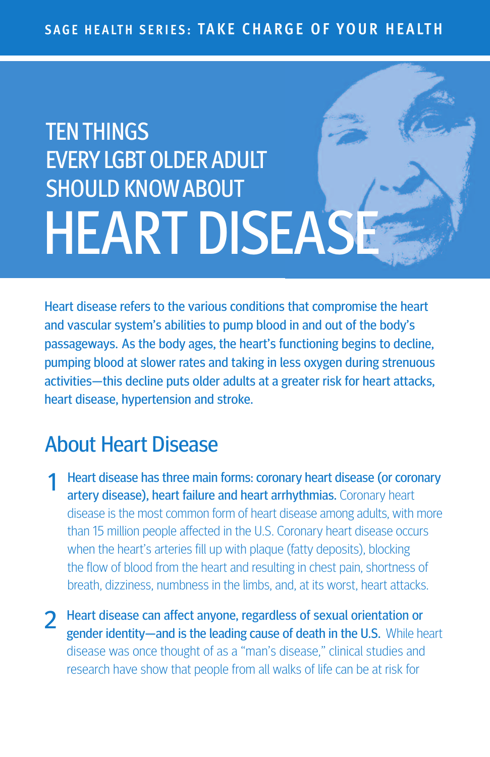# **TEN THINGS EVERY LGBT OLDER ADULT** SHOULD KNOWABOUT **HEART DISEAS**

Heart disease refers to the various conditions that compromise the heart and vascular system's abilities to pump blood in and out of the body's passageways. As the body ages, the heart's functioning begins to decline, pumping blood at slower rates and taking in less oxygen during strenuous activities—this decline puts older adults at a greater risk for heart attacks, heart disease, hypertension and stroke.

## About Heart Disease

1 Heart disease has three main forms: coronary heart disease (or coronary artery disease), heart failure and heart arrhythmias. Coronary heart disease is the most common form of heart disease among adults, with more than 15 million people affected in the U.S. Coronary heart disease occurs when the heart's arteries fill up with plaque (fatty deposits), blocking the flow of blood from the heart and resulting in chest pain, shortness of breath, dizziness, numbness in the limbs, and, at its worst, heart attacks.

2 Heart disease can affect anyone, regardless of sexual orientation or gender identity—and is the leading cause of death in the U.S. While heart disease was once thought of as a "man's disease," clinical studies and research have show that people from all walks of life can be at risk for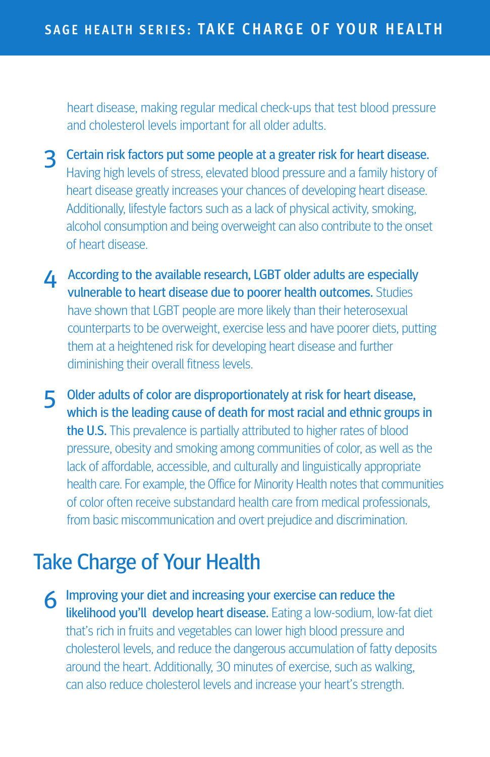heart disease, making regular medical check-ups that test blood pressure and cholesterol levels important for all older adults.

- 3 Certain risk factors put some people at <sup>a</sup> greater risk for heart disease. Having high levels of stress, elevated blood pressure and a family history of heart disease greatly increases your chances of developing heart disease. Additionally, lifestyle factors such as a lack of physical activity, smoking, alcohol consumption and being overweight can also contribute to the onset of heart disease.
- **4** According to the available research, LGBT older adults are especially vulnerable to heart disease due to poorer health outcomes. Studies have shown that LGBT people are more likely than their heterosexual counterparts to be overweight, exercise less and have poorer diets, putting them at a heightened risk for developing heart disease and further diminishing their overall fitness levels.
- 5 Older adults of color are disproportionately at risk for heart disease, which is the leading cause of death for most racial and ethnic groups in the U.S. This prevalence is partially attributed to higher rates of blood pressure, obesity and smoking among communities of color, as well as the lack of affordable, accessible, and culturally and linguistically appropriate health care. For example, the Office for Minority Health notes that communities of color often receive substandard health care from medical professionals, from basic miscommunication and overt prejudice and discrimination.

## Take Charge of Your Health

6 Improving your diet and increasing your exercise can reduce the likelihood you'll develop heart disease. Eating a low-sodium, low-fat diet that's rich in fruits and vegetables can lower high blood pressure and cholesterol levels, and reduce the dangerous accumulation of fatty deposits around the heart. Additionally, 30 minutes of exercise, such as walking, can also reduce cholesterol levels and increase your heart's strength.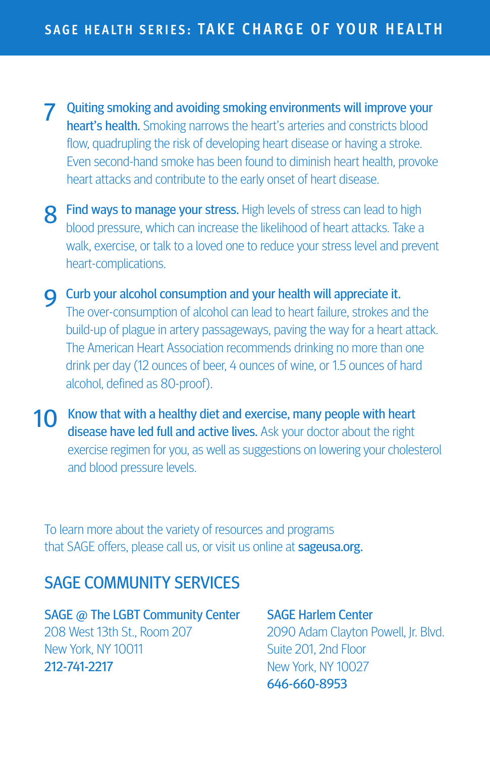7 Quiting smoking and avoiding smoking environments will improve your heart's health. Smoking narrows the heart's arteries and constricts blood flow, quadrupling the risk of developing heart disease or having a stroke. Even second-hand smoke has been found to diminish heart health, provoke heart attacks and contribute to the early onset of heart disease.

8 Find ways to manage your stress. High levels of stress can lead to high blood pressure, which can increase the likelihood of heart attacks. Take a walk, exercise, or talk to a loved one to reduce your stress level and prevent heart-complications.

**Q** Curb your alcohol consumption and your health will appreciate it. The over-consumption of alcohol can lead to heart failure, strokes and the build-up of plague in artery passageways, paving the way for a heart attack. The American Heart Association recommends drinking no more than one drink per day (12 ounces of beer, 4 ounces of wine, or 1.5 ounces of hard alcohol, defined as 80-proof).

10 Know that with a healthy diet and exercise, many people with heart disease have led full and active lives. Ask your doctor about the right exercise regimen for you, as well as suggestions on lowering your cholesterol and blood pressure levels.

To learn more about the variety of resources and programs that SAGE offers, please call us, or visit us online at **sageusa.org.** 

### SAGE COMMUNITY SERVICES

SAGE @ The LGBT Community Center 208 West 13th St., Room 207 New York, NY 10011 212-741-2217

SAGE Harlem Center 2090 Adam Clayton Powell, Jr. Blvd. Suite 201, 2nd Floor New York, NY 10027 646-660-8953